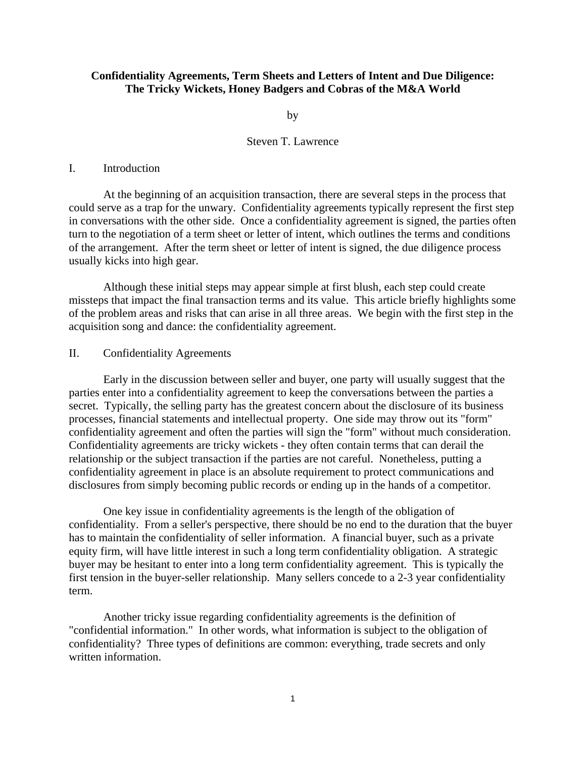# **Confidentiality Agreements, Term Sheets and Letters of Intent and Due Diligence: The Tricky Wickets, Honey Badgers and Cobras of the M&A World**

by

# Steven T. Lawrence

#### I. Introduction

 At the beginning of an acquisition transaction, there are several steps in the process that could serve as a trap for the unwary. Confidentiality agreements typically represent the first step in conversations with the other side. Once a confidentiality agreement is signed, the parties often turn to the negotiation of a term sheet or letter of intent, which outlines the terms and conditions of the arrangement. After the term sheet or letter of intent is signed, the due diligence process usually kicks into high gear.

 Although these initial steps may appear simple at first blush, each step could create missteps that impact the final transaction terms and its value. This article briefly highlights some of the problem areas and risks that can arise in all three areas. We begin with the first step in the acquisition song and dance: the confidentiality agreement.

### II. Confidentiality Agreements

 Early in the discussion between seller and buyer, one party will usually suggest that the parties enter into a confidentiality agreement to keep the conversations between the parties a secret. Typically, the selling party has the greatest concern about the disclosure of its business processes, financial statements and intellectual property. One side may throw out its "form" confidentiality agreement and often the parties will sign the "form" without much consideration. Confidentiality agreements are tricky wickets - they often contain terms that can derail the relationship or the subject transaction if the parties are not careful. Nonetheless, putting a confidentiality agreement in place is an absolute requirement to protect communications and disclosures from simply becoming public records or ending up in the hands of a competitor.

 One key issue in confidentiality agreements is the length of the obligation of confidentiality. From a seller's perspective, there should be no end to the duration that the buyer has to maintain the confidentiality of seller information. A financial buyer, such as a private equity firm, will have little interest in such a long term confidentiality obligation. A strategic buyer may be hesitant to enter into a long term confidentiality agreement. This is typically the first tension in the buyer-seller relationship. Many sellers concede to a 2-3 year confidentiality term.

 Another tricky issue regarding confidentiality agreements is the definition of "confidential information." In other words, what information is subject to the obligation of confidentiality? Three types of definitions are common: everything, trade secrets and only written information.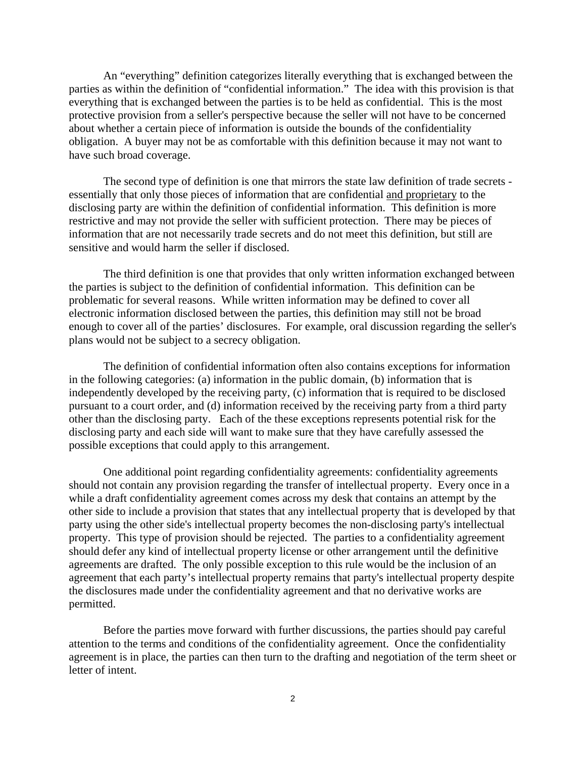An "everything" definition categorizes literally everything that is exchanged between the parties as within the definition of "confidential information." The idea with this provision is that everything that is exchanged between the parties is to be held as confidential. This is the most protective provision from a seller's perspective because the seller will not have to be concerned about whether a certain piece of information is outside the bounds of the confidentiality obligation. A buyer may not be as comfortable with this definition because it may not want to have such broad coverage.

 The second type of definition is one that mirrors the state law definition of trade secrets essentially that only those pieces of information that are confidential and proprietary to the disclosing party are within the definition of confidential information. This definition is more restrictive and may not provide the seller with sufficient protection. There may be pieces of information that are not necessarily trade secrets and do not meet this definition, but still are sensitive and would harm the seller if disclosed.

 The third definition is one that provides that only written information exchanged between the parties is subject to the definition of confidential information. This definition can be problematic for several reasons. While written information may be defined to cover all electronic information disclosed between the parties, this definition may still not be broad enough to cover all of the parties' disclosures. For example, oral discussion regarding the seller's plans would not be subject to a secrecy obligation.

 The definition of confidential information often also contains exceptions for information in the following categories: (a) information in the public domain, (b) information that is independently developed by the receiving party, (c) information that is required to be disclosed pursuant to a court order, and (d) information received by the receiving party from a third party other than the disclosing party. Each of the these exceptions represents potential risk for the disclosing party and each side will want to make sure that they have carefully assessed the possible exceptions that could apply to this arrangement.

 One additional point regarding confidentiality agreements: confidentiality agreements should not contain any provision regarding the transfer of intellectual property. Every once in a while a draft confidentiality agreement comes across my desk that contains an attempt by the other side to include a provision that states that any intellectual property that is developed by that party using the other side's intellectual property becomes the non-disclosing party's intellectual property. This type of provision should be rejected. The parties to a confidentiality agreement should defer any kind of intellectual property license or other arrangement until the definitive agreements are drafted. The only possible exception to this rule would be the inclusion of an agreement that each party's intellectual property remains that party's intellectual property despite the disclosures made under the confidentiality agreement and that no derivative works are permitted.

 Before the parties move forward with further discussions, the parties should pay careful attention to the terms and conditions of the confidentiality agreement. Once the confidentiality agreement is in place, the parties can then turn to the drafting and negotiation of the term sheet or letter of intent.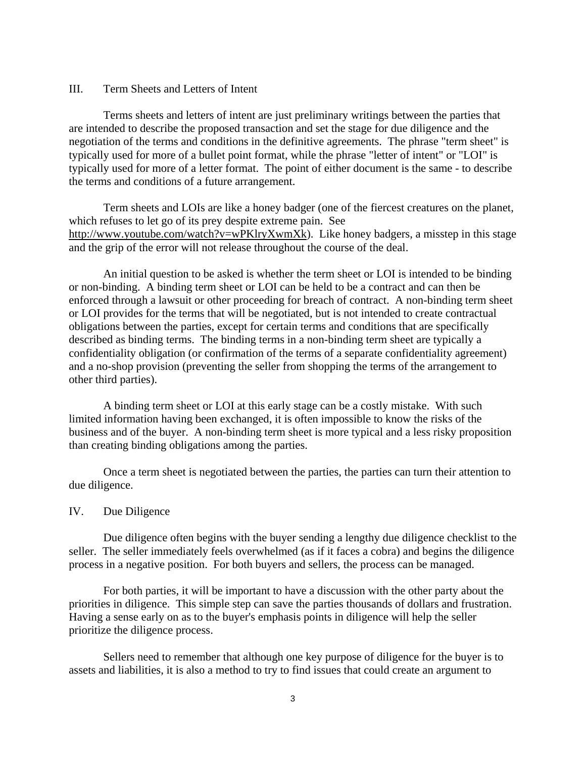#### III. Term Sheets and Letters of Intent

 Terms sheets and letters of intent are just preliminary writings between the parties that are intended to describe the proposed transaction and set the stage for due diligence and the negotiation of the terms and conditions in the definitive agreements. The phrase "term sheet" is typically used for more of a bullet point format, while the phrase "letter of intent" or "LOI" is typically used for more of a letter format. The point of either document is the same - to describe the terms and conditions of a future arrangement.

 Term sheets and LOIs are like a honey badger (one of the fiercest creatures on the planet, which refuses to let go of its prey despite extreme pain. See http://www.youtube.com/watch?v=wPKlryXwmXk). Like honey badgers, a misstep in this stage and the grip of the error will not release throughout the course of the deal.

 An initial question to be asked is whether the term sheet or LOI is intended to be binding or non-binding. A binding term sheet or LOI can be held to be a contract and can then be enforced through a lawsuit or other proceeding for breach of contract. A non-binding term sheet or LOI provides for the terms that will be negotiated, but is not intended to create contractual obligations between the parties, except for certain terms and conditions that are specifically described as binding terms. The binding terms in a non-binding term sheet are typically a confidentiality obligation (or confirmation of the terms of a separate confidentiality agreement) and a no-shop provision (preventing the seller from shopping the terms of the arrangement to other third parties).

 A binding term sheet or LOI at this early stage can be a costly mistake. With such limited information having been exchanged, it is often impossible to know the risks of the business and of the buyer. A non-binding term sheet is more typical and a less risky proposition than creating binding obligations among the parties.

 Once a term sheet is negotiated between the parties, the parties can turn their attention to due diligence.

# IV. Due Diligence

 Due diligence often begins with the buyer sending a lengthy due diligence checklist to the seller. The seller immediately feels overwhelmed (as if it faces a cobra) and begins the diligence process in a negative position. For both buyers and sellers, the process can be managed.

 For both parties, it will be important to have a discussion with the other party about the priorities in diligence. This simple step can save the parties thousands of dollars and frustration. Having a sense early on as to the buyer's emphasis points in diligence will help the seller prioritize the diligence process.

 Sellers need to remember that although one key purpose of diligence for the buyer is to assets and liabilities, it is also a method to try to find issues that could create an argument to